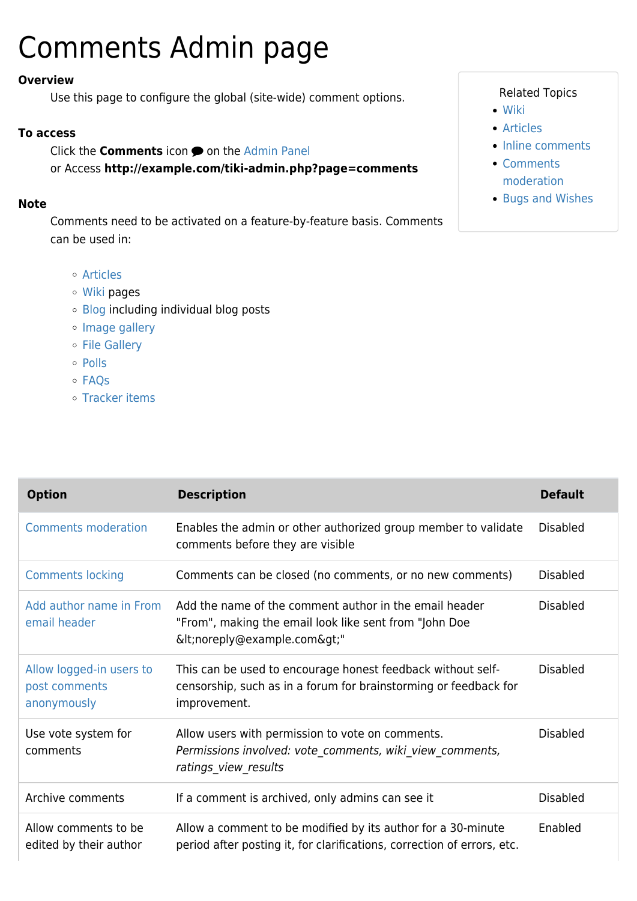# Comments Admin page

### **Overview**

Use this page to configure the global (site-wide) comment options.

#### **To access**

Click the **Comments** icon  $\bullet$  on the [Admin Panel](https://doc.tiki.org/Admin-Panels) or Access **http://example.com/tiki-admin.php?page=comments**

#### **Note**

Comments need to be activated on a feature-by-feature basis. Comments can be used in:

- [Articles](https://doc.tiki.org/Articles)
- [Wiki](https://doc.tiki.org/Wiki) pages
- [Blog](https://doc.tiki.org/Blog) including individual blog posts
- o [Image gallery](https://doc.tiki.org/Image-Gallery)
- [File Gallery](https://doc.tiki.org/File-Gallery)
- [Polls](https://doc.tiki.org/Polls)
- [FAQs](https://doc.tiki.org/FAQs)
- [Tracker items](https://doc.tiki.org/Trackers)

| <b>Related Topics</b> |  |
|-----------------------|--|
|-----------------------|--|

- [Wiki](https://doc.tiki.org/Wiki)
- [Articles](https://doc.tiki.org/Articles)
- [Inline comments](https://doc.tiki.org/Inline-comments)
- [Comments](https://doc.tiki.org/Comments%20moderation) [moderation](https://doc.tiki.org/Comments%20moderation)
- [Bugs and Wishes](http://dev.tiki.org/Administration)

| <b>Option</b>                                            | <b>Description</b>                                                                                                                                               | <b>Default</b>  |
|----------------------------------------------------------|------------------------------------------------------------------------------------------------------------------------------------------------------------------|-----------------|
| <b>Comments moderation</b>                               | Enables the admin or other authorized group member to validate<br>comments before they are visible                                                               | <b>Disabled</b> |
| <b>Comments locking</b>                                  | Comments can be closed (no comments, or no new comments)                                                                                                         | <b>Disabled</b> |
| Add author name in From<br>email header                  | Add the name of the comment author in the email header<br>"From", making the email look like sent from "John Doe<br><noreply@example.com>"</noreply@example.com> | <b>Disabled</b> |
| Allow logged-in users to<br>post comments<br>anonymously | This can be used to encourage honest feedback without self-<br>censorship, such as in a forum for brainstorming or feedback for<br>improvement.                  | <b>Disabled</b> |
| Use vote system for<br>comments                          | Allow users with permission to vote on comments.<br>Permissions involved: vote comments, wiki view comments,<br>ratings view results                             | <b>Disabled</b> |
| Archive comments                                         | If a comment is archived, only admins can see it                                                                                                                 | <b>Disabled</b> |
| Allow comments to be<br>edited by their author           | Allow a comment to be modified by its author for a 30-minute<br>period after posting it, for clarifications, correction of errors, etc.                          | Enabled         |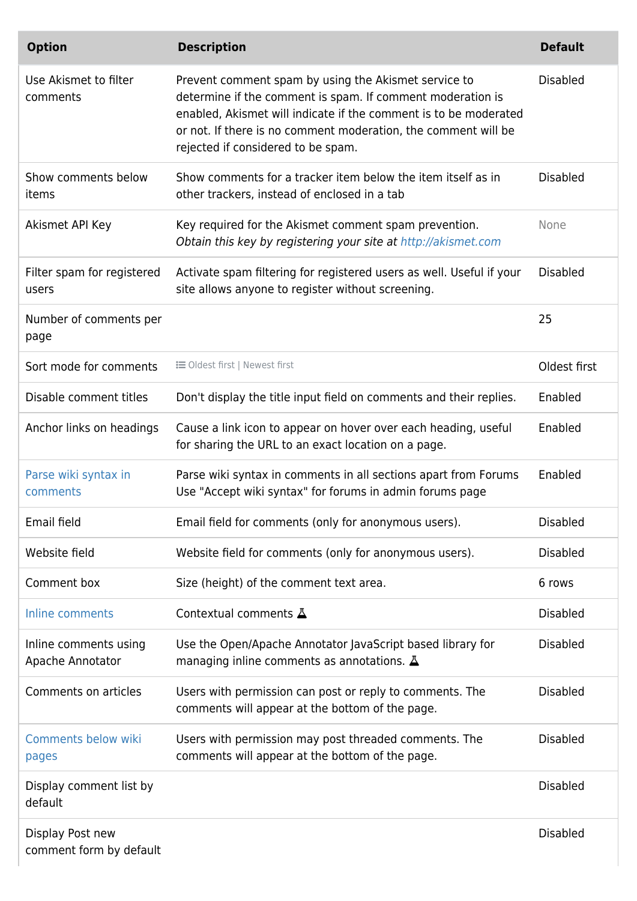| <b>Option</b>                               | <b>Description</b>                                                                                                                                                                                                                                                                             | <b>Default</b>  |
|---------------------------------------------|------------------------------------------------------------------------------------------------------------------------------------------------------------------------------------------------------------------------------------------------------------------------------------------------|-----------------|
| Use Akismet to filter<br>comments           | Prevent comment spam by using the Akismet service to<br>determine if the comment is spam. If comment moderation is<br>enabled, Akismet will indicate if the comment is to be moderated<br>or not. If there is no comment moderation, the comment will be<br>rejected if considered to be spam. | <b>Disabled</b> |
| Show comments below<br>items                | Show comments for a tracker item below the item itself as in<br>other trackers, instead of enclosed in a tab                                                                                                                                                                                   | <b>Disabled</b> |
| Akismet API Key                             | Key required for the Akismet comment spam prevention.<br>Obtain this key by registering your site at http://akismet.com                                                                                                                                                                        | None            |
| Filter spam for registered<br>users         | Activate spam filtering for registered users as well. Useful if your<br>site allows anyone to register without screening.                                                                                                                                                                      | <b>Disabled</b> |
| Number of comments per<br>page              |                                                                                                                                                                                                                                                                                                | 25              |
| Sort mode for comments                      | <b>i≡</b> Oldest first   Newest first                                                                                                                                                                                                                                                          | Oldest first    |
| Disable comment titles                      | Don't display the title input field on comments and their replies.                                                                                                                                                                                                                             | Enabled         |
| Anchor links on headings                    | Cause a link icon to appear on hover over each heading, useful<br>for sharing the URL to an exact location on a page.                                                                                                                                                                          | Enabled         |
| Parse wiki syntax in<br>comments            | Parse wiki syntax in comments in all sections apart from Forums<br>Use "Accept wiki syntax" for forums in admin forums page                                                                                                                                                                    | Enabled         |
| Email field                                 | Email field for comments (only for anonymous users).                                                                                                                                                                                                                                           | <b>Disabled</b> |
| Website field                               | Website field for comments (only for anonymous users).                                                                                                                                                                                                                                         | <b>Disabled</b> |
| Comment box                                 | Size (height) of the comment text area.                                                                                                                                                                                                                                                        | 6 rows          |
| Inline comments                             | Contextual comments A                                                                                                                                                                                                                                                                          | <b>Disabled</b> |
| Inline comments using<br>Apache Annotator   | Use the Open/Apache Annotator JavaScript based library for<br>managing inline comments as annotations. $\Delta$                                                                                                                                                                                | <b>Disabled</b> |
| Comments on articles                        | Users with permission can post or reply to comments. The<br>comments will appear at the bottom of the page.                                                                                                                                                                                    | <b>Disabled</b> |
| <b>Comments below wiki</b><br>pages         | Users with permission may post threaded comments. The<br>comments will appear at the bottom of the page.                                                                                                                                                                                       | <b>Disabled</b> |
| Display comment list by<br>default          |                                                                                                                                                                                                                                                                                                | <b>Disabled</b> |
| Display Post new<br>comment form by default |                                                                                                                                                                                                                                                                                                | <b>Disabled</b> |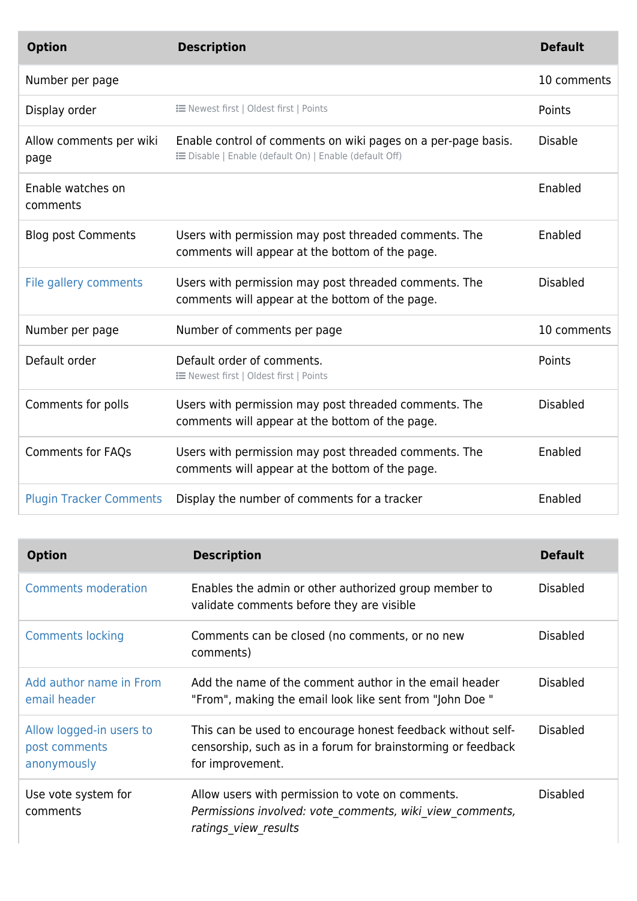| <b>Option</b>                   | <b>Description</b>                                                                                                      | <b>Default</b>  |
|---------------------------------|-------------------------------------------------------------------------------------------------------------------------|-----------------|
| Number per page                 |                                                                                                                         | 10 comments     |
| Display order                   | i Newest first   Oldest first   Points                                                                                  | Points          |
| Allow comments per wiki<br>page | Enable control of comments on wiki pages on a per-page basis.<br>E Disable   Enable (default On)   Enable (default Off) | <b>Disable</b>  |
| Enable watches on<br>comments   |                                                                                                                         | Enabled         |
| <b>Blog post Comments</b>       | Users with permission may post threaded comments. The<br>comments will appear at the bottom of the page.                | Enabled         |
| File gallery comments           | Users with permission may post threaded comments. The<br>comments will appear at the bottom of the page.                | <b>Disabled</b> |
| Number per page                 | Number of comments per page                                                                                             | 10 comments     |
| Default order                   | Default order of comments.<br>i Newest first   Oldest first   Points                                                    | Points          |
| Comments for polls              | Users with permission may post threaded comments. The<br>comments will appear at the bottom of the page.                | <b>Disabled</b> |
| <b>Comments for FAQs</b>        | Users with permission may post threaded comments. The<br>comments will appear at the bottom of the page.                | Enabled         |
| <b>Plugin Tracker Comments</b>  | Display the number of comments for a tracker                                                                            | Enabled         |

| <b>Option</b>                                            | <b>Description</b>                                                                                                                              | <b>Default</b>  |
|----------------------------------------------------------|-------------------------------------------------------------------------------------------------------------------------------------------------|-----------------|
| <b>Comments moderation</b>                               | Enables the admin or other authorized group member to<br>validate comments before they are visible                                              | <b>Disabled</b> |
| <b>Comments locking</b>                                  | Comments can be closed (no comments, or no new<br>comments)                                                                                     | <b>Disabled</b> |
| Add author name in From<br>email header                  | Add the name of the comment author in the email header<br>"From", making the email look like sent from "John Doe"                               | Disabled        |
| Allow logged-in users to<br>post comments<br>anonymously | This can be used to encourage honest feedback without self-<br>censorship, such as in a forum for brainstorming or feedback<br>for improvement. | <b>Disabled</b> |
| Use vote system for<br>comments                          | Allow users with permission to vote on comments.<br>Permissions involved: vote_comments, wiki_view_comments,<br>ratings view results            | <b>Disabled</b> |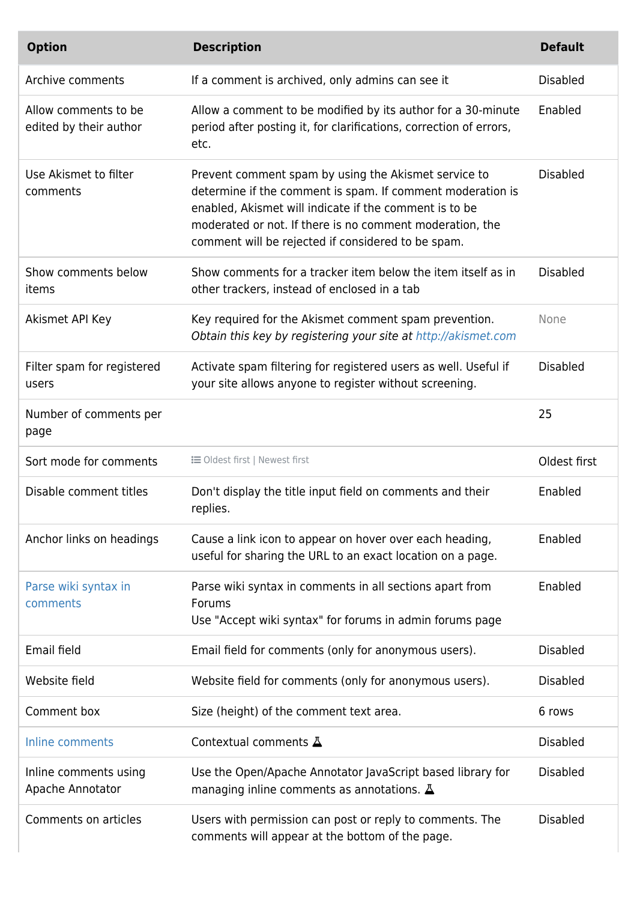| <b>Option</b>                                  | <b>Description</b>                                                                                                                                                                                                                                                                             | <b>Default</b>  |
|------------------------------------------------|------------------------------------------------------------------------------------------------------------------------------------------------------------------------------------------------------------------------------------------------------------------------------------------------|-----------------|
| Archive comments                               | If a comment is archived, only admins can see it                                                                                                                                                                                                                                               | <b>Disabled</b> |
| Allow comments to be<br>edited by their author | Allow a comment to be modified by its author for a 30-minute<br>period after posting it, for clarifications, correction of errors,<br>etc.                                                                                                                                                     | Enabled         |
| Use Akismet to filter<br>comments              | Prevent comment spam by using the Akismet service to<br>determine if the comment is spam. If comment moderation is<br>enabled, Akismet will indicate if the comment is to be<br>moderated or not. If there is no comment moderation, the<br>comment will be rejected if considered to be spam. | <b>Disabled</b> |
| Show comments below<br>items                   | Show comments for a tracker item below the item itself as in<br>other trackers, instead of enclosed in a tab                                                                                                                                                                                   | <b>Disabled</b> |
| Akismet API Key                                | Key required for the Akismet comment spam prevention.<br>Obtain this key by registering your site at http://akismet.com                                                                                                                                                                        | None            |
| Filter spam for registered<br>users            | Activate spam filtering for registered users as well. Useful if<br>your site allows anyone to register without screening.                                                                                                                                                                      | <b>Disabled</b> |
| Number of comments per<br>page                 |                                                                                                                                                                                                                                                                                                | 25              |
| Sort mode for comments                         | <b>i≡</b> Oldest first   Newest first                                                                                                                                                                                                                                                          | Oldest first    |
| Disable comment titles                         | Don't display the title input field on comments and their<br>replies.                                                                                                                                                                                                                          | Enabled         |
| Anchor links on headings                       | Cause a link icon to appear on hover over each heading,<br>useful for sharing the URL to an exact location on a page.                                                                                                                                                                          | Enabled         |
| Parse wiki syntax in<br>comments               | Parse wiki syntax in comments in all sections apart from<br>Forums<br>Use "Accept wiki syntax" for forums in admin forums page                                                                                                                                                                 | Enabled         |
| Email field                                    | Email field for comments (only for anonymous users).                                                                                                                                                                                                                                           | <b>Disabled</b> |
| Website field                                  | Website field for comments (only for anonymous users).                                                                                                                                                                                                                                         | <b>Disabled</b> |
| Comment box                                    | Size (height) of the comment text area.                                                                                                                                                                                                                                                        | 6 rows          |
| Inline comments                                | Contextual comments $\Delta$                                                                                                                                                                                                                                                                   | <b>Disabled</b> |
| Inline comments using<br>Apache Annotator      | Use the Open/Apache Annotator JavaScript based library for<br>managing inline comments as annotations. $\Delta$                                                                                                                                                                                | <b>Disabled</b> |
| Comments on articles                           | Users with permission can post or reply to comments. The<br>comments will appear at the bottom of the page.                                                                                                                                                                                    | <b>Disabled</b> |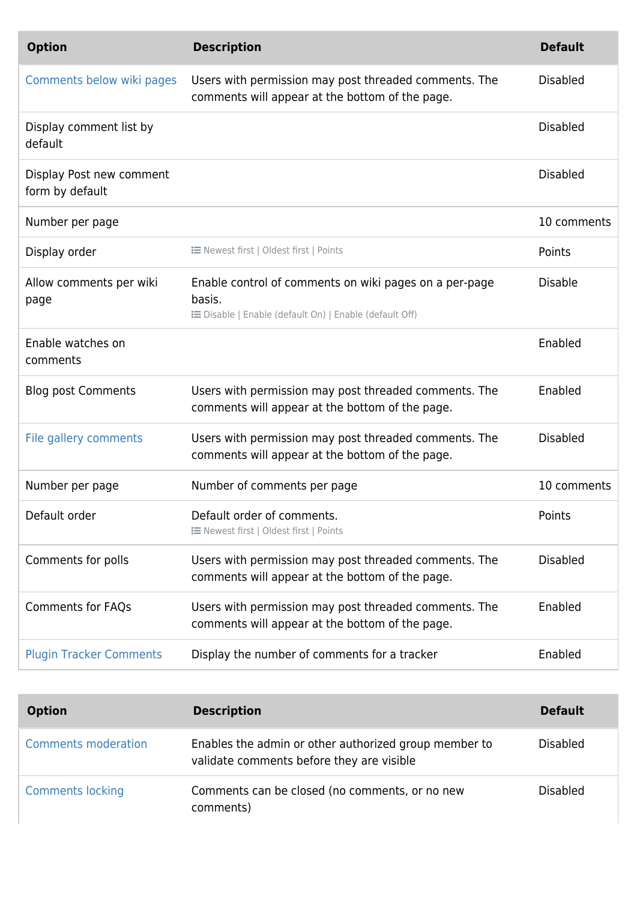| <b>Option</b>                               | <b>Description</b>                                                                                                          | <b>Default</b>  |
|---------------------------------------------|-----------------------------------------------------------------------------------------------------------------------------|-----------------|
| Comments below wiki pages                   | Users with permission may post threaded comments. The<br>comments will appear at the bottom of the page.                    | <b>Disabled</b> |
| Display comment list by<br>default          |                                                                                                                             | <b>Disabled</b> |
| Display Post new comment<br>form by default |                                                                                                                             | <b>Disabled</b> |
| Number per page                             |                                                                                                                             | 10 comments     |
| Display order                               | <b>IE Newest first   Oldest first   Points</b>                                                                              | Points          |
| Allow comments per wiki<br>page             | Enable control of comments on wiki pages on a per-page<br>basis.<br>: EDisable   Enable (default On)   Enable (default Off) | <b>Disable</b>  |
| Enable watches on<br>comments               |                                                                                                                             | Enabled         |
| <b>Blog post Comments</b>                   | Users with permission may post threaded comments. The<br>comments will appear at the bottom of the page.                    | Enabled         |
| File gallery comments                       | Users with permission may post threaded comments. The<br>comments will appear at the bottom of the page.                    | <b>Disabled</b> |
| Number per page                             | Number of comments per page                                                                                                 | 10 comments     |
| Default order                               | Default order of comments.<br><b>IE Newest first   Oldest first   Points</b>                                                | Points          |
| Comments for polls                          | Users with permission may post threaded comments. The<br>comments will appear at the bottom of the page.                    | <b>Disabled</b> |
| <b>Comments for FAQs</b>                    | Users with permission may post threaded comments. The<br>comments will appear at the bottom of the page.                    | Enabled         |
| <b>Plugin Tracker Comments</b>              | Display the number of comments for a tracker                                                                                | Enabled         |

| <b>Option</b>              | <b>Description</b>                                                                                 | <b>Default</b>  |
|----------------------------|----------------------------------------------------------------------------------------------------|-----------------|
| <b>Comments moderation</b> | Enables the admin or other authorized group member to<br>validate comments before they are visible | <b>Disabled</b> |
| <b>Comments locking</b>    | Comments can be closed (no comments, or no new<br>comments)                                        | <b>Disabled</b> |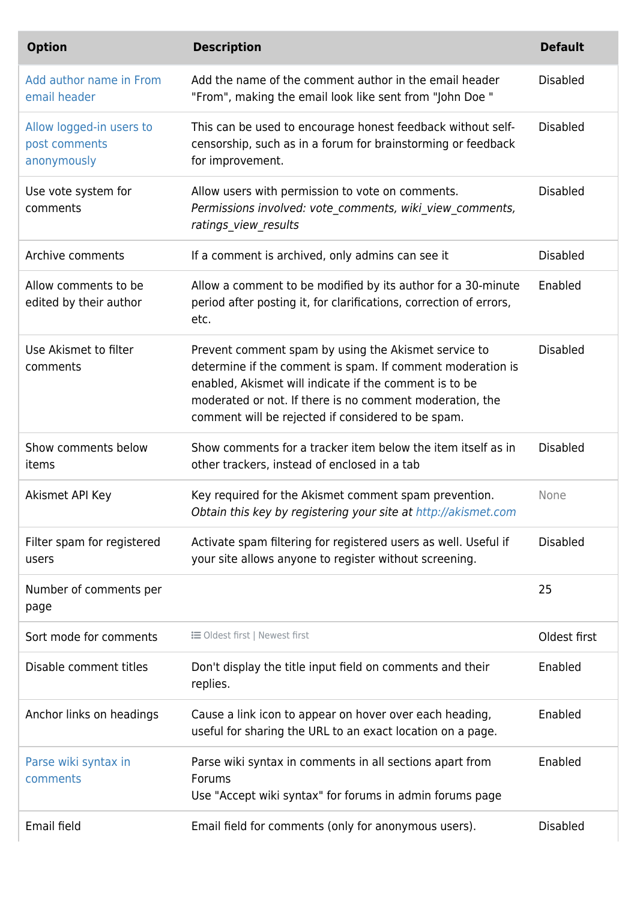| <b>Option</b>                                            | <b>Description</b>                                                                                                                                                                                                                                                                             | <b>Default</b>  |
|----------------------------------------------------------|------------------------------------------------------------------------------------------------------------------------------------------------------------------------------------------------------------------------------------------------------------------------------------------------|-----------------|
| Add author name in From<br>email header                  | Add the name of the comment author in the email header<br>"From", making the email look like sent from "John Doe "                                                                                                                                                                             | <b>Disabled</b> |
| Allow logged-in users to<br>post comments<br>anonymously | This can be used to encourage honest feedback without self-<br>censorship, such as in a forum for brainstorming or feedback<br>for improvement.                                                                                                                                                | <b>Disabled</b> |
| Use vote system for<br>comments                          | Allow users with permission to vote on comments.<br>Permissions involved: vote comments, wiki view comments,<br>ratings view results                                                                                                                                                           | <b>Disabled</b> |
| Archive comments                                         | If a comment is archived, only admins can see it                                                                                                                                                                                                                                               | <b>Disabled</b> |
| Allow comments to be<br>edited by their author           | Allow a comment to be modified by its author for a 30-minute<br>period after posting it, for clarifications, correction of errors,<br>etc.                                                                                                                                                     | Enabled         |
| Use Akismet to filter<br>comments                        | Prevent comment spam by using the Akismet service to<br>determine if the comment is spam. If comment moderation is<br>enabled, Akismet will indicate if the comment is to be<br>moderated or not. If there is no comment moderation, the<br>comment will be rejected if considered to be spam. | <b>Disabled</b> |
| Show comments below<br>items                             | Show comments for a tracker item below the item itself as in<br>other trackers, instead of enclosed in a tab                                                                                                                                                                                   | <b>Disabled</b> |
| Akismet API Key                                          | Key required for the Akismet comment spam prevention.<br>Obtain this key by registering your site at http://akismet.com                                                                                                                                                                        | None            |
| Filter spam for registered<br>users                      | Activate spam filtering for registered users as well. Useful if<br>your site allows anyone to register without screening.                                                                                                                                                                      | <b>Disabled</b> |
| Number of comments per<br>page                           |                                                                                                                                                                                                                                                                                                | 25              |
| Sort mode for comments                                   | <b>i</b> Oldest first   Newest first                                                                                                                                                                                                                                                           | Oldest first    |
| Disable comment titles                                   | Don't display the title input field on comments and their<br>replies.                                                                                                                                                                                                                          | Enabled         |
| Anchor links on headings                                 | Cause a link icon to appear on hover over each heading,<br>useful for sharing the URL to an exact location on a page.                                                                                                                                                                          | Enabled         |
| Parse wiki syntax in<br>comments                         | Parse wiki syntax in comments in all sections apart from<br>Forums<br>Use "Accept wiki syntax" for forums in admin forums page                                                                                                                                                                 | Enabled         |
| Email field                                              | Email field for comments (only for anonymous users).                                                                                                                                                                                                                                           | <b>Disabled</b> |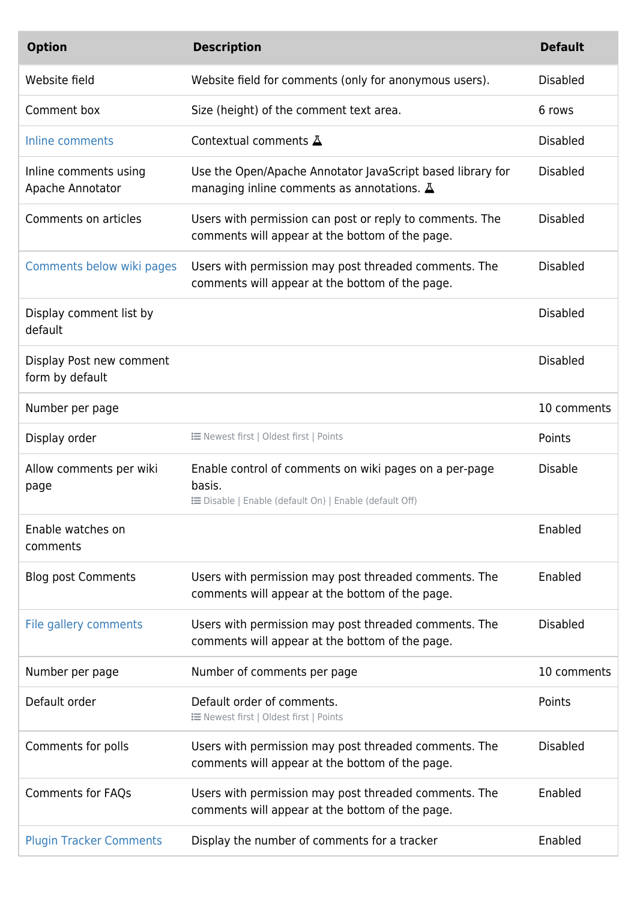| <b>Option</b>                               | <b>Description</b>                                                                                                         | <b>Default</b>  |
|---------------------------------------------|----------------------------------------------------------------------------------------------------------------------------|-----------------|
| Website field                               | Website field for comments (only for anonymous users).                                                                     | <b>Disabled</b> |
| Comment box                                 | Size (height) of the comment text area.                                                                                    | 6 rows          |
| Inline comments                             | Contextual comments $\Delta$                                                                                               | <b>Disabled</b> |
| Inline comments using<br>Apache Annotator   | Use the Open/Apache Annotator JavaScript based library for<br>managing inline comments as annotations. $\Delta$            | <b>Disabled</b> |
| Comments on articles                        | Users with permission can post or reply to comments. The<br>comments will appear at the bottom of the page.                | <b>Disabled</b> |
| Comments below wiki pages                   | Users with permission may post threaded comments. The<br>comments will appear at the bottom of the page.                   | <b>Disabled</b> |
| Display comment list by<br>default          |                                                                                                                            | <b>Disabled</b> |
| Display Post new comment<br>form by default |                                                                                                                            | <b>Disabled</b> |
| Number per page                             |                                                                                                                            | 10 comments     |
| Display order                               | <b>IE Newest first   Oldest first   Points</b>                                                                             | Points          |
| Allow comments per wiki<br>page             | Enable control of comments on wiki pages on a per-page<br>basis.<br>E Disable   Enable (default On)   Enable (default Off) | <b>Disable</b>  |
| Enable watches on<br>comments               |                                                                                                                            | Enabled         |
| <b>Blog post Comments</b>                   | Users with permission may post threaded comments. The<br>comments will appear at the bottom of the page.                   | Enabled         |
| File gallery comments                       | Users with permission may post threaded comments. The<br>comments will appear at the bottom of the page.                   | <b>Disabled</b> |
| Number per page                             | Number of comments per page                                                                                                | 10 comments     |
| Default order                               | Default order of comments.<br>i Newest first   Oldest first   Points                                                       | Points          |
| Comments for polls                          | Users with permission may post threaded comments. The<br>comments will appear at the bottom of the page.                   | <b>Disabled</b> |
| Comments for FAQs                           | Users with permission may post threaded comments. The<br>comments will appear at the bottom of the page.                   | Enabled         |
| <b>Plugin Tracker Comments</b>              | Display the number of comments for a tracker                                                                               | Enabled         |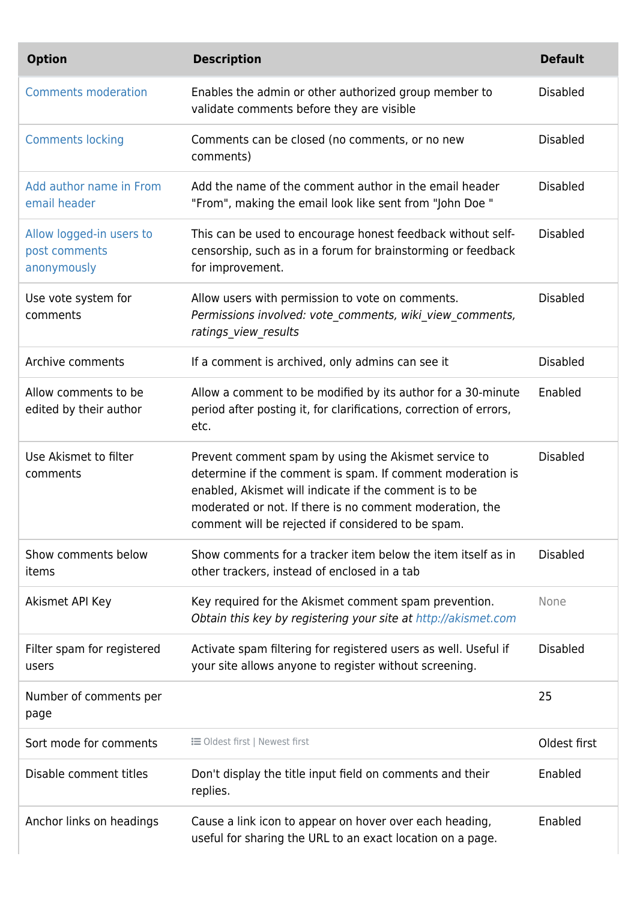| <b>Option</b>                                            | <b>Description</b>                                                                                                                                                                                                                                                                             | <b>Default</b>  |
|----------------------------------------------------------|------------------------------------------------------------------------------------------------------------------------------------------------------------------------------------------------------------------------------------------------------------------------------------------------|-----------------|
| <b>Comments moderation</b>                               | Enables the admin or other authorized group member to<br>validate comments before they are visible                                                                                                                                                                                             | <b>Disabled</b> |
| <b>Comments locking</b>                                  | Comments can be closed (no comments, or no new<br>comments)                                                                                                                                                                                                                                    | <b>Disabled</b> |
| Add author name in From<br>email header                  | Add the name of the comment author in the email header<br>"From", making the email look like sent from "John Doe "                                                                                                                                                                             | <b>Disabled</b> |
| Allow logged-in users to<br>post comments<br>anonymously | This can be used to encourage honest feedback without self-<br>censorship, such as in a forum for brainstorming or feedback<br>for improvement.                                                                                                                                                | <b>Disabled</b> |
| Use vote system for<br>comments                          | Allow users with permission to vote on comments.<br>Permissions involved: vote comments, wiki view comments,<br>ratings view results                                                                                                                                                           | <b>Disabled</b> |
| Archive comments                                         | If a comment is archived, only admins can see it                                                                                                                                                                                                                                               | <b>Disabled</b> |
| Allow comments to be<br>edited by their author           | Allow a comment to be modified by its author for a 30-minute<br>period after posting it, for clarifications, correction of errors,<br>etc.                                                                                                                                                     | Enabled         |
| Use Akismet to filter<br>comments                        | Prevent comment spam by using the Akismet service to<br>determine if the comment is spam. If comment moderation is<br>enabled, Akismet will indicate if the comment is to be<br>moderated or not. If there is no comment moderation, the<br>comment will be rejected if considered to be spam. | <b>Disabled</b> |
| Show comments below<br>items                             | Show comments for a tracker item below the item itself as in<br>other trackers, instead of enclosed in a tab                                                                                                                                                                                   | <b>Disabled</b> |
| Akismet API Key                                          | Key required for the Akismet comment spam prevention.<br>Obtain this key by registering your site at http://akismet.com                                                                                                                                                                        | None            |
| Filter spam for registered<br>users                      | Activate spam filtering for registered users as well. Useful if<br>your site allows anyone to register without screening.                                                                                                                                                                      | <b>Disabled</b> |
| Number of comments per<br>page                           |                                                                                                                                                                                                                                                                                                | 25              |
| Sort mode for comments                                   | <b>i≡</b> Oldest first   Newest first                                                                                                                                                                                                                                                          | Oldest first    |
| Disable comment titles                                   | Don't display the title input field on comments and their<br>replies.                                                                                                                                                                                                                          | Enabled         |
| Anchor links on headings                                 | Cause a link icon to appear on hover over each heading,<br>useful for sharing the URL to an exact location on a page.                                                                                                                                                                          | Enabled         |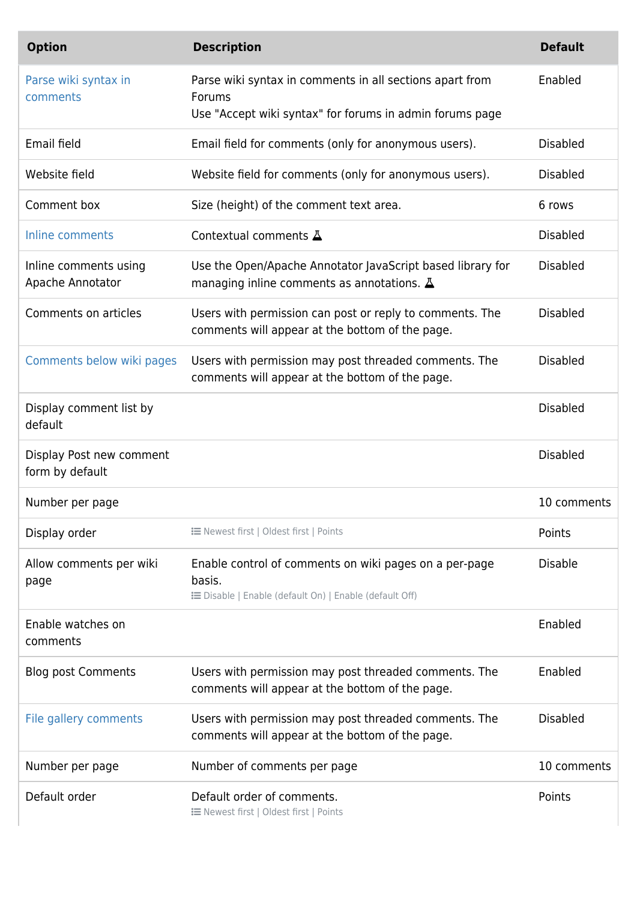| <b>Option</b>                               | <b>Description</b>                                                                                                             | <b>Default</b>  |
|---------------------------------------------|--------------------------------------------------------------------------------------------------------------------------------|-----------------|
| Parse wiki syntax in<br>comments            | Parse wiki syntax in comments in all sections apart from<br>Forums<br>Use "Accept wiki syntax" for forums in admin forums page | Enabled         |
| Email field                                 | Email field for comments (only for anonymous users).                                                                           | <b>Disabled</b> |
| Website field                               | Website field for comments (only for anonymous users).                                                                         | <b>Disabled</b> |
| Comment box                                 | Size (height) of the comment text area.                                                                                        | 6 rows          |
| Inline comments                             | Contextual comments $\Delta$                                                                                                   | <b>Disabled</b> |
| Inline comments using<br>Apache Annotator   | Use the Open/Apache Annotator JavaScript based library for<br>managing inline comments as annotations. $\Delta$                | <b>Disabled</b> |
| Comments on articles                        | Users with permission can post or reply to comments. The<br>comments will appear at the bottom of the page.                    | <b>Disabled</b> |
| Comments below wiki pages                   | Users with permission may post threaded comments. The<br>comments will appear at the bottom of the page.                       | <b>Disabled</b> |
| Display comment list by<br>default          |                                                                                                                                | <b>Disabled</b> |
| Display Post new comment<br>form by default |                                                                                                                                | <b>Disabled</b> |
| Number per page                             |                                                                                                                                | 10 comments     |
| Display order                               | <b>IE Newest first   Oldest first   Points</b>                                                                                 | Points          |
| Allow comments per wiki<br>page             | Enable control of comments on wiki pages on a per-page<br>basis.<br>EDisable   Enable (default On)   Enable (default Off)      | <b>Disable</b>  |
| Enable watches on<br>comments               |                                                                                                                                | Enabled         |
| <b>Blog post Comments</b>                   | Users with permission may post threaded comments. The<br>comments will appear at the bottom of the page.                       | Enabled         |
| File gallery comments                       | Users with permission may post threaded comments. The<br>comments will appear at the bottom of the page.                       | <b>Disabled</b> |
| Number per page                             | Number of comments per page                                                                                                    | 10 comments     |
| Default order                               | Default order of comments.<br><b>IE Newest first   Oldest first   Points</b>                                                   | Points          |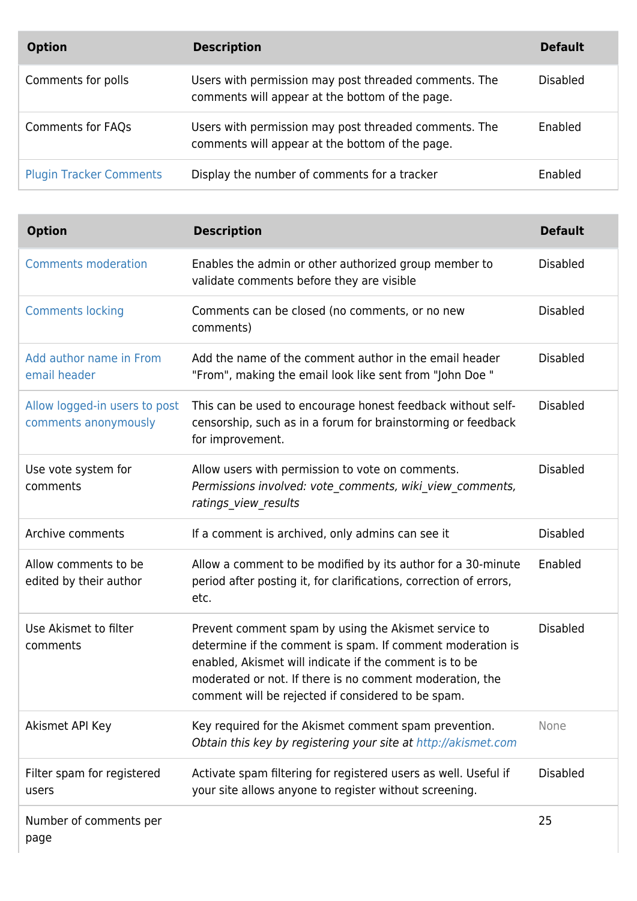| <b>Option</b>                  | <b>Description</b>                                                                                       | <b>Default</b> |
|--------------------------------|----------------------------------------------------------------------------------------------------------|----------------|
| Comments for polls             | Users with permission may post threaded comments. The<br>comments will appear at the bottom of the page. | Disabled       |
| <b>Comments for FAQs</b>       | Users with permission may post threaded comments. The<br>comments will appear at the bottom of the page. | Enabled        |
| <b>Plugin Tracker Comments</b> | Display the number of comments for a tracker                                                             | Enabled        |

| <b>Option</b>                                         | <b>Description</b>                                                                                                                                                                                                                                                                             | <b>Default</b>  |
|-------------------------------------------------------|------------------------------------------------------------------------------------------------------------------------------------------------------------------------------------------------------------------------------------------------------------------------------------------------|-----------------|
| <b>Comments moderation</b>                            | Enables the admin or other authorized group member to<br>validate comments before they are visible                                                                                                                                                                                             | <b>Disabled</b> |
| <b>Comments locking</b>                               | Comments can be closed (no comments, or no new<br>comments)                                                                                                                                                                                                                                    | <b>Disabled</b> |
| Add author name in From<br>email header               | Add the name of the comment author in the email header<br>"From", making the email look like sent from "John Doe "                                                                                                                                                                             | <b>Disabled</b> |
| Allow logged-in users to post<br>comments anonymously | This can be used to encourage honest feedback without self-<br>censorship, such as in a forum for brainstorming or feedback<br>for improvement.                                                                                                                                                | <b>Disabled</b> |
| Use vote system for<br>comments                       | Allow users with permission to vote on comments.<br>Permissions involved: vote comments, wiki view comments,<br>ratings view results                                                                                                                                                           | <b>Disabled</b> |
| Archive comments                                      | If a comment is archived, only admins can see it                                                                                                                                                                                                                                               | <b>Disabled</b> |
| Allow comments to be<br>edited by their author        | Allow a comment to be modified by its author for a 30-minute<br>period after posting it, for clarifications, correction of errors,<br>etc.                                                                                                                                                     | Enabled         |
| Use Akismet to filter<br>comments                     | Prevent comment spam by using the Akismet service to<br>determine if the comment is spam. If comment moderation is<br>enabled, Akismet will indicate if the comment is to be<br>moderated or not. If there is no comment moderation, the<br>comment will be rejected if considered to be spam. | <b>Disabled</b> |
| Akismet API Key                                       | Key required for the Akismet comment spam prevention.<br>Obtain this key by registering your site at http://akismet.com                                                                                                                                                                        | None            |
| Filter spam for registered<br>users                   | Activate spam filtering for registered users as well. Useful if<br>your site allows anyone to register without screening.                                                                                                                                                                      | <b>Disabled</b> |
| Number of comments per                                |                                                                                                                                                                                                                                                                                                | 25              |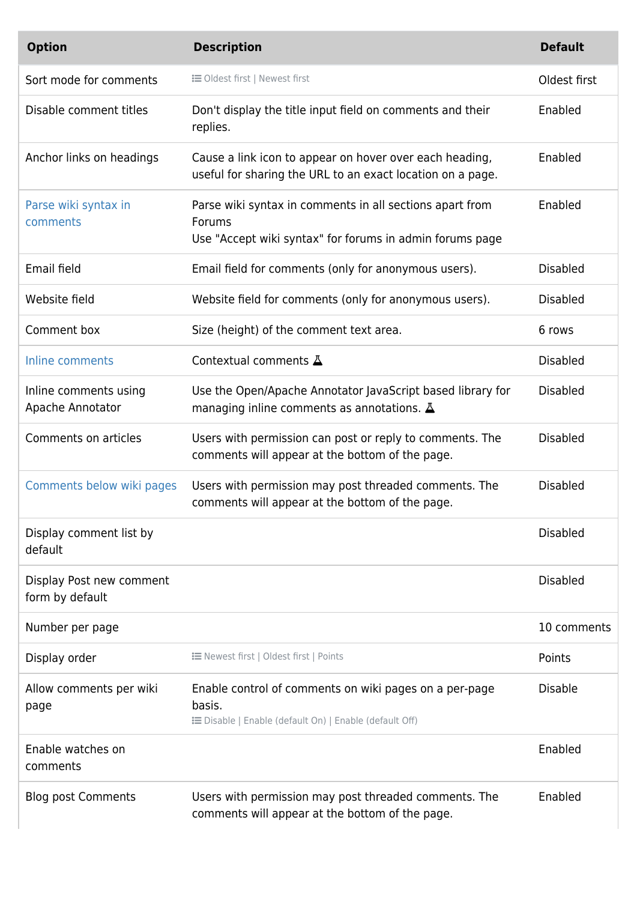| <b>Option</b>                               | <b>Description</b>                                                                                                             | <b>Default</b>  |
|---------------------------------------------|--------------------------------------------------------------------------------------------------------------------------------|-----------------|
| Sort mode for comments                      | <b>i≡</b> Oldest first   Newest first                                                                                          | Oldest first    |
| Disable comment titles                      | Don't display the title input field on comments and their<br>replies.                                                          | Enabled         |
| Anchor links on headings                    | Cause a link icon to appear on hover over each heading,<br>useful for sharing the URL to an exact location on a page.          | Enabled         |
| Parse wiki syntax in<br>comments            | Parse wiki syntax in comments in all sections apart from<br>Forums<br>Use "Accept wiki syntax" for forums in admin forums page | Enabled         |
| Email field                                 | Email field for comments (only for anonymous users).                                                                           | <b>Disabled</b> |
| Website field                               | Website field for comments (only for anonymous users).                                                                         | <b>Disabled</b> |
| Comment box                                 | Size (height) of the comment text area.                                                                                        | 6 rows          |
| Inline comments                             | Contextual comments $\Delta$                                                                                                   | <b>Disabled</b> |
| Inline comments using<br>Apache Annotator   | Use the Open/Apache Annotator JavaScript based library for<br>managing inline comments as annotations. $\Delta$                | <b>Disabled</b> |
| Comments on articles                        | Users with permission can post or reply to comments. The<br>comments will appear at the bottom of the page.                    | <b>Disabled</b> |
| Comments below wiki pages                   | Users with permission may post threaded comments. The<br>comments will appear at the bottom of the page.                       | <b>Disabled</b> |
| Display comment list by<br>default          |                                                                                                                                | <b>Disabled</b> |
| Display Post new comment<br>form by default |                                                                                                                                | <b>Disabled</b> |
| Number per page                             |                                                                                                                                | 10 comments     |
| Display order                               | <b>IE Newest first   Oldest first   Points</b>                                                                                 | Points          |
| Allow comments per wiki<br>page             | Enable control of comments on wiki pages on a per-page<br>basis.<br>: EDisable   Enable (default On)   Enable (default Off)    | <b>Disable</b>  |
| Enable watches on<br>comments               |                                                                                                                                | Enabled         |
| <b>Blog post Comments</b>                   | Users with permission may post threaded comments. The<br>comments will appear at the bottom of the page.                       | Enabled         |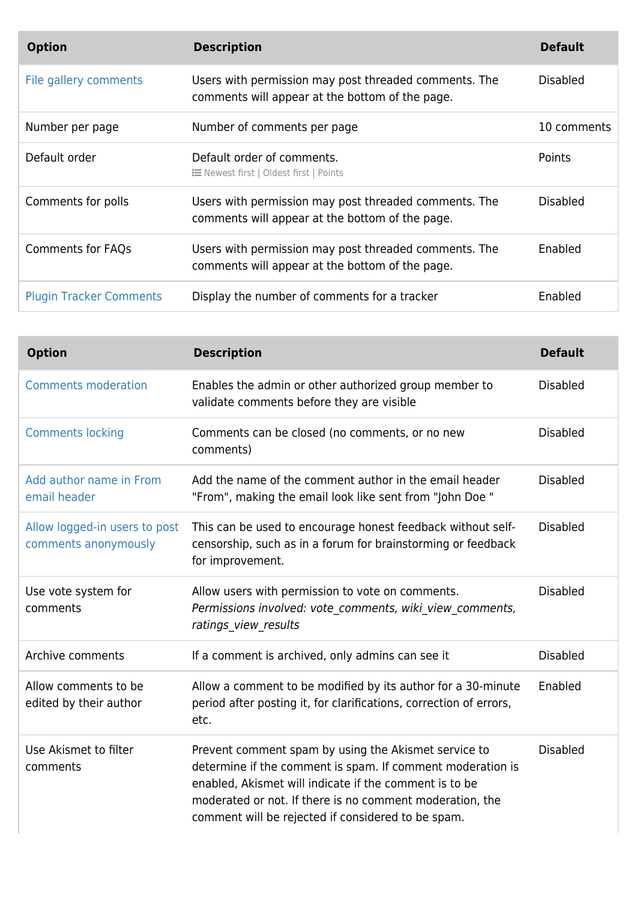| <b>Option</b>                  | <b>Description</b>                                                                                       | <b>Default</b>  |
|--------------------------------|----------------------------------------------------------------------------------------------------------|-----------------|
| File gallery comments          | Users with permission may post threaded comments. The<br>comments will appear at the bottom of the page. | <b>Disabled</b> |
| Number per page                | Number of comments per page                                                                              | 10 comments     |
| Default order                  | Default order of comments.<br><b>E</b> Newest first   Oldest first   Points                              | Points          |
| Comments for polls             | Users with permission may post threaded comments. The<br>comments will appear at the bottom of the page. | <b>Disabled</b> |
| <b>Comments for FAQs</b>       | Users with permission may post threaded comments. The<br>comments will appear at the bottom of the page. | Enabled         |
| <b>Plugin Tracker Comments</b> | Display the number of comments for a tracker                                                             | Enabled         |

| <b>Option</b>                                         | <b>Description</b>                                                                                                                                                                                                                                                                             | <b>Default</b>  |
|-------------------------------------------------------|------------------------------------------------------------------------------------------------------------------------------------------------------------------------------------------------------------------------------------------------------------------------------------------------|-----------------|
| <b>Comments moderation</b>                            | Enables the admin or other authorized group member to<br>validate comments before they are visible                                                                                                                                                                                             | <b>Disabled</b> |
| <b>Comments locking</b>                               | Comments can be closed (no comments, or no new<br>comments)                                                                                                                                                                                                                                    | <b>Disabled</b> |
| Add author name in From<br>email header               | Add the name of the comment author in the email header<br>"From", making the email look like sent from "John Doe"                                                                                                                                                                              | <b>Disabled</b> |
| Allow logged-in users to post<br>comments anonymously | This can be used to encourage honest feedback without self-<br>censorship, such as in a forum for brainstorming or feedback<br>for improvement.                                                                                                                                                | <b>Disabled</b> |
| Use vote system for<br>comments                       | Allow users with permission to vote on comments.<br>Permissions involved: vote comments, wiki view comments,<br>ratings view results                                                                                                                                                           | <b>Disabled</b> |
| Archive comments                                      | If a comment is archived, only admins can see it                                                                                                                                                                                                                                               | <b>Disabled</b> |
| Allow comments to be<br>edited by their author        | Allow a comment to be modified by its author for a 30-minute<br>period after posting it, for clarifications, correction of errors,<br>etc.                                                                                                                                                     | Enabled         |
| Use Akismet to filter<br>comments                     | Prevent comment spam by using the Akismet service to<br>determine if the comment is spam. If comment moderation is<br>enabled, Akismet will indicate if the comment is to be<br>moderated or not. If there is no comment moderation, the<br>comment will be rejected if considered to be spam. | <b>Disabled</b> |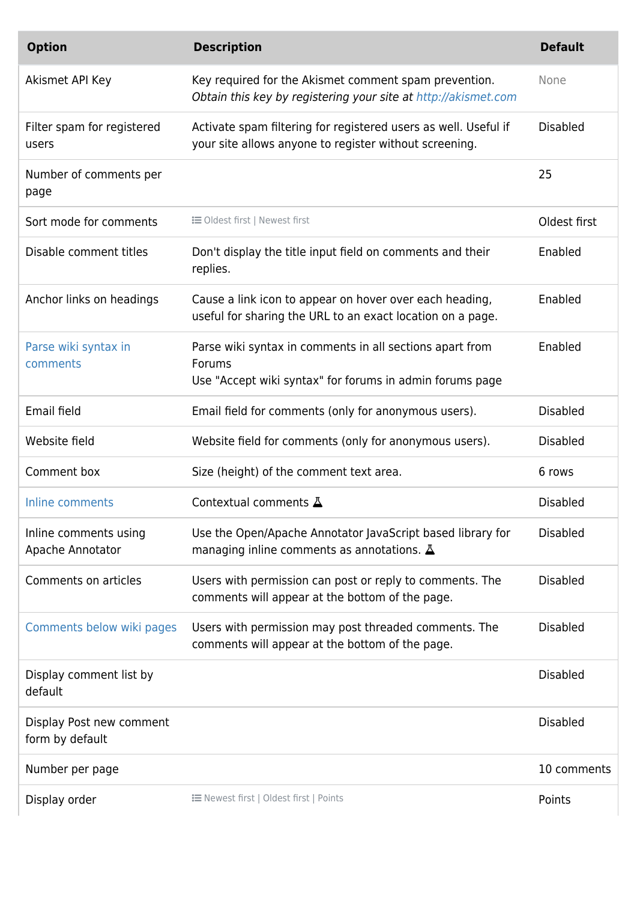| <b>Option</b>                               | <b>Description</b>                                                                                                             | <b>Default</b>  |
|---------------------------------------------|--------------------------------------------------------------------------------------------------------------------------------|-----------------|
| Akismet API Key                             | Key required for the Akismet comment spam prevention.<br>Obtain this key by registering your site at http://akismet.com        | None            |
| Filter spam for registered<br>users         | Activate spam filtering for registered users as well. Useful if<br>your site allows anyone to register without screening.      | <b>Disabled</b> |
| Number of comments per<br>page              |                                                                                                                                | 25              |
| Sort mode for comments                      | <b>i≡</b> Oldest first   Newest first                                                                                          | Oldest first    |
| Disable comment titles                      | Don't display the title input field on comments and their<br>replies.                                                          | Enabled         |
| Anchor links on headings                    | Cause a link icon to appear on hover over each heading,<br>useful for sharing the URL to an exact location on a page.          | Enabled         |
| Parse wiki syntax in<br>comments            | Parse wiki syntax in comments in all sections apart from<br>Forums<br>Use "Accept wiki syntax" for forums in admin forums page | Enabled         |
| Email field                                 | Email field for comments (only for anonymous users).                                                                           | <b>Disabled</b> |
| Website field                               | Website field for comments (only for anonymous users).                                                                         | <b>Disabled</b> |
| Comment box                                 | Size (height) of the comment text area.                                                                                        | 6 rows          |
| Inline comments                             | Contextual comments $\Delta$                                                                                                   | <b>Disabled</b> |
| Inline comments using<br>Apache Annotator   | Use the Open/Apache Annotator JavaScript based library for<br>managing inline comments as annotations. $\Delta$                | <b>Disabled</b> |
| Comments on articles                        | Users with permission can post or reply to comments. The<br>comments will appear at the bottom of the page.                    | <b>Disabled</b> |
| Comments below wiki pages                   | Users with permission may post threaded comments. The<br>comments will appear at the bottom of the page.                       | <b>Disabled</b> |
| Display comment list by<br>default          |                                                                                                                                | <b>Disabled</b> |
| Display Post new comment<br>form by default |                                                                                                                                | <b>Disabled</b> |
| Number per page                             |                                                                                                                                | 10 comments     |
| Display order                               | i Newest first   Oldest first   Points                                                                                         | Points          |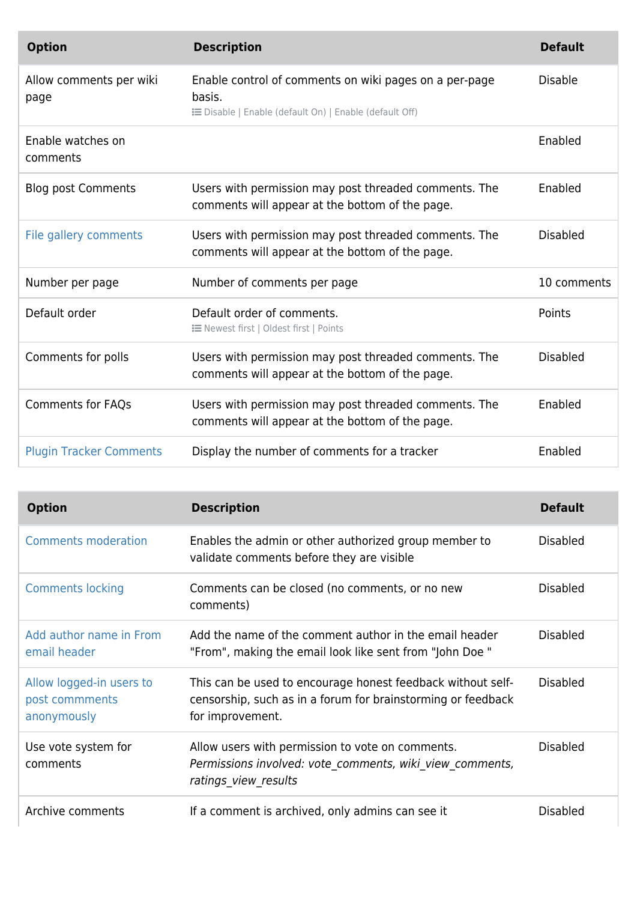| <b>Option</b>                   | <b>Description</b>                                                                                                        | <b>Default</b>  |
|---------------------------------|---------------------------------------------------------------------------------------------------------------------------|-----------------|
| Allow comments per wiki<br>page | Enable control of comments on wiki pages on a per-page<br>basis.<br>EDisable   Enable (default On)   Enable (default Off) | <b>Disable</b>  |
| Enable watches on<br>comments   |                                                                                                                           | Enabled         |
| <b>Blog post Comments</b>       | Users with permission may post threaded comments. The<br>comments will appear at the bottom of the page.                  | Enabled         |
| File gallery comments           | Users with permission may post threaded comments. The<br>comments will appear at the bottom of the page.                  | <b>Disabled</b> |
| Number per page                 | Number of comments per page                                                                                               | 10 comments     |
| Default order                   | Default order of comments.<br>i Newest first   Oldest first   Points                                                      | Points          |
| Comments for polls              | Users with permission may post threaded comments. The<br>comments will appear at the bottom of the page.                  | <b>Disabled</b> |
| <b>Comments for FAOs</b>        | Users with permission may post threaded comments. The<br>comments will appear at the bottom of the page.                  | Enabled         |
| <b>Plugin Tracker Comments</b>  | Display the number of comments for a tracker                                                                              | Enabled         |

| <b>Option</b>                                             | <b>Description</b>                                                                                                                              | <b>Default</b>  |
|-----------------------------------------------------------|-------------------------------------------------------------------------------------------------------------------------------------------------|-----------------|
| <b>Comments moderation</b>                                | Enables the admin or other authorized group member to<br>validate comments before they are visible                                              | <b>Disabled</b> |
| <b>Comments locking</b>                                   | Comments can be closed (no comments, or no new<br>comments)                                                                                     | <b>Disabled</b> |
| Add author name in From<br>email header                   | Add the name of the comment author in the email header<br>"From", making the email look like sent from "John Doe"                               | <b>Disabled</b> |
| Allow logged-in users to<br>post commments<br>anonymously | This can be used to encourage honest feedback without self-<br>censorship, such as in a forum for brainstorming or feedback<br>for improvement. | <b>Disabled</b> |
| Use vote system for<br>comments                           | Allow users with permission to vote on comments.<br>Permissions involved: vote comments, wiki view comments,<br>ratings view results            | <b>Disabled</b> |
| Archive comments                                          | If a comment is archived, only admins can see it                                                                                                | Disabled        |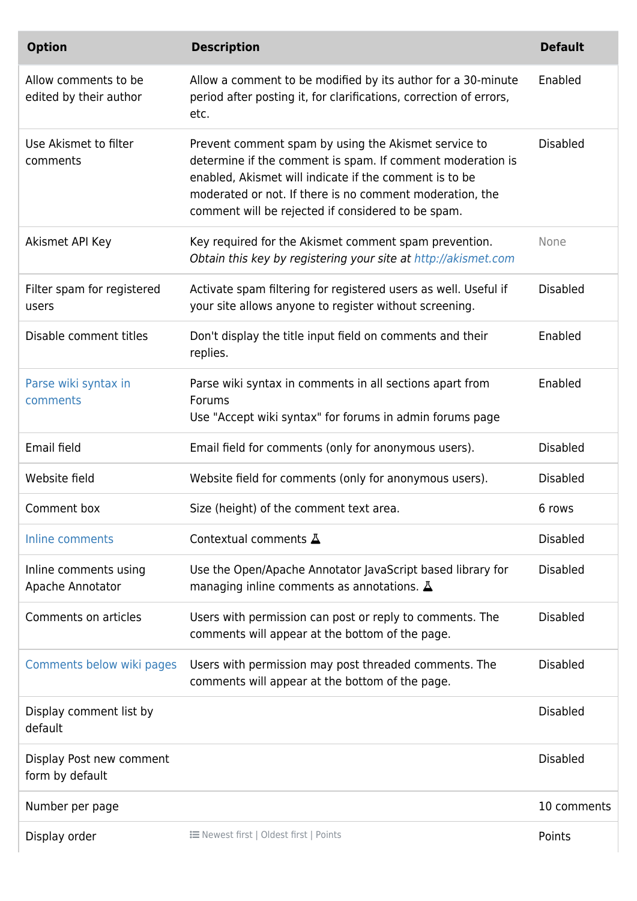| <b>Option</b>                                  | <b>Description</b>                                                                                                                                                                                                                                                                             | <b>Default</b>  |
|------------------------------------------------|------------------------------------------------------------------------------------------------------------------------------------------------------------------------------------------------------------------------------------------------------------------------------------------------|-----------------|
| Allow comments to be<br>edited by their author | Allow a comment to be modified by its author for a 30-minute<br>period after posting it, for clarifications, correction of errors,<br>etc.                                                                                                                                                     | Enabled         |
| Use Akismet to filter<br>comments              | Prevent comment spam by using the Akismet service to<br>determine if the comment is spam. If comment moderation is<br>enabled, Akismet will indicate if the comment is to be<br>moderated or not. If there is no comment moderation, the<br>comment will be rejected if considered to be spam. | <b>Disabled</b> |
| Akismet API Key                                | Key required for the Akismet comment spam prevention.<br>Obtain this key by registering your site at http://akismet.com                                                                                                                                                                        | None            |
| Filter spam for registered<br>users            | Activate spam filtering for registered users as well. Useful if<br>your site allows anyone to register without screening.                                                                                                                                                                      | <b>Disabled</b> |
| Disable comment titles                         | Don't display the title input field on comments and their<br>replies.                                                                                                                                                                                                                          | Enabled         |
| Parse wiki syntax in<br>comments               | Parse wiki syntax in comments in all sections apart from<br>Forums<br>Use "Accept wiki syntax" for forums in admin forums page                                                                                                                                                                 | Enabled         |
| Email field                                    | Email field for comments (only for anonymous users).                                                                                                                                                                                                                                           | <b>Disabled</b> |
| Website field                                  | Website field for comments (only for anonymous users).                                                                                                                                                                                                                                         | <b>Disabled</b> |
| Comment box                                    | Size (height) of the comment text area.                                                                                                                                                                                                                                                        | 6 rows          |
| Inline comments                                | Contextual comments △                                                                                                                                                                                                                                                                          | <b>Disabled</b> |
| Inline comments using<br>Apache Annotator      | Use the Open/Apache Annotator JavaScript based library for<br>managing inline comments as annotations. $\Delta$                                                                                                                                                                                | <b>Disabled</b> |
| Comments on articles                           | Users with permission can post or reply to comments. The<br>comments will appear at the bottom of the page.                                                                                                                                                                                    | <b>Disabled</b> |
| Comments below wiki pages                      | Users with permission may post threaded comments. The<br>comments will appear at the bottom of the page.                                                                                                                                                                                       | <b>Disabled</b> |
| Display comment list by<br>default             |                                                                                                                                                                                                                                                                                                | <b>Disabled</b> |
| Display Post new comment<br>form by default    |                                                                                                                                                                                                                                                                                                | <b>Disabled</b> |
| Number per page                                |                                                                                                                                                                                                                                                                                                | 10 comments     |
| Display order                                  | <b>IE Newest first   Oldest first   Points</b>                                                                                                                                                                                                                                                 | Points          |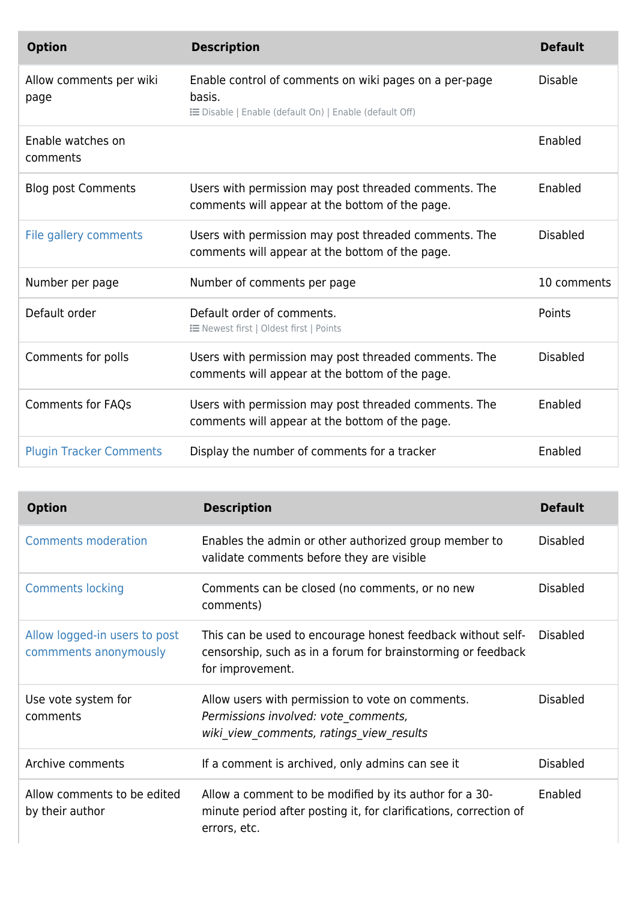| <b>Option</b>                   | <b>Description</b>                                                                                                         | <b>Default</b>  |
|---------------------------------|----------------------------------------------------------------------------------------------------------------------------|-----------------|
| Allow comments per wiki<br>page | Enable control of comments on wiki pages on a per-page<br>basis.<br>E Disable   Enable (default On)   Enable (default Off) | <b>Disable</b>  |
| Enable watches on<br>comments   |                                                                                                                            | Enabled         |
| <b>Blog post Comments</b>       | Users with permission may post threaded comments. The<br>comments will appear at the bottom of the page.                   | Enabled         |
| File gallery comments           | Users with permission may post threaded comments. The<br>comments will appear at the bottom of the page.                   | <b>Disabled</b> |
| Number per page                 | Number of comments per page                                                                                                | 10 comments     |
| Default order                   | Default order of comments.<br><b>IE Newest first   Oldest first   Points</b>                                               | Points          |
| Comments for polls              | Users with permission may post threaded comments. The<br>comments will appear at the bottom of the page.                   | <b>Disabled</b> |
| <b>Comments for FAQs</b>        | Users with permission may post threaded comments. The<br>comments will appear at the bottom of the page.                   | Enabled         |
| <b>Plugin Tracker Comments</b>  | Display the number of comments for a tracker                                                                               | Enabled         |

| <b>Option</b>                                          | <b>Description</b>                                                                                                                              | <b>Default</b>  |
|--------------------------------------------------------|-------------------------------------------------------------------------------------------------------------------------------------------------|-----------------|
| <b>Comments moderation</b>                             | Enables the admin or other authorized group member to<br>validate comments before they are visible                                              | <b>Disabled</b> |
| <b>Comments locking</b>                                | Comments can be closed (no comments, or no new<br>comments)                                                                                     | <b>Disabled</b> |
| Allow logged-in users to post<br>commments anonymously | This can be used to encourage honest feedback without self-<br>censorship, such as in a forum for brainstorming or feedback<br>for improvement. | <b>Disabled</b> |
| Use vote system for<br>comments                        | Allow users with permission to vote on comments.<br>Permissions involved: vote_comments,<br>wiki view comments, ratings view results            | <b>Disabled</b> |
| Archive comments                                       | If a comment is archived, only admins can see it                                                                                                | <b>Disabled</b> |
| Allow comments to be edited<br>by their author         | Allow a comment to be modified by its author for a 30-<br>minute period after posting it, for clarifications, correction of<br>errors, etc.     | Enabled         |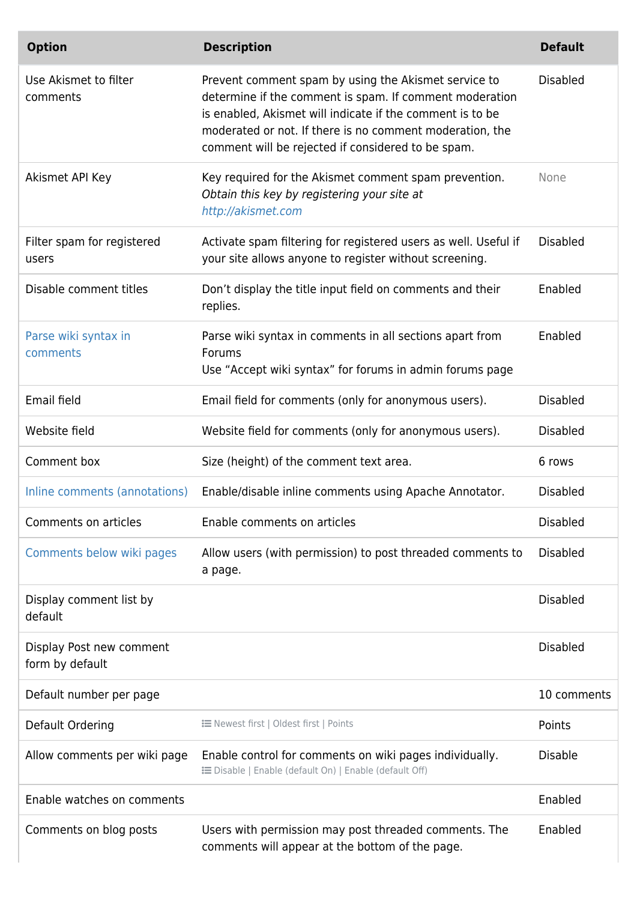| <b>Option</b>                               | <b>Description</b>                                                                                                                                                                                                                                                                             | <b>Default</b>  |
|---------------------------------------------|------------------------------------------------------------------------------------------------------------------------------------------------------------------------------------------------------------------------------------------------------------------------------------------------|-----------------|
| Use Akismet to filter<br>comments           | Prevent comment spam by using the Akismet service to<br>determine if the comment is spam. If comment moderation<br>is enabled, Akismet will indicate if the comment is to be<br>moderated or not. If there is no comment moderation, the<br>comment will be rejected if considered to be spam. | <b>Disabled</b> |
| Akismet API Key                             | Key required for the Akismet comment spam prevention.<br>Obtain this key by registering your site at<br>http://akismet.com                                                                                                                                                                     | None            |
| Filter spam for registered<br>users         | Activate spam filtering for registered users as well. Useful if<br>your site allows anyone to register without screening.                                                                                                                                                                      | <b>Disabled</b> |
| Disable comment titles                      | Don't display the title input field on comments and their<br>replies.                                                                                                                                                                                                                          | Enabled         |
| Parse wiki syntax in<br>comments            | Parse wiki syntax in comments in all sections apart from<br>Forums<br>Use "Accept wiki syntax" for forums in admin forums page                                                                                                                                                                 | Enabled         |
| Email field                                 | Email field for comments (only for anonymous users).                                                                                                                                                                                                                                           | <b>Disabled</b> |
| Website field                               | Website field for comments (only for anonymous users).                                                                                                                                                                                                                                         | <b>Disabled</b> |
| Comment box                                 | Size (height) of the comment text area.                                                                                                                                                                                                                                                        | 6 rows          |
| Inline comments (annotations)               | Enable/disable inline comments using Apache Annotator.                                                                                                                                                                                                                                         | <b>Disabled</b> |
| Comments on articles                        | Enable comments on articles                                                                                                                                                                                                                                                                    | <b>Disabled</b> |
| Comments below wiki pages                   | Allow users (with permission) to post threaded comments to                                                                                                                                                                                                                                     | <b>Disabled</b> |
|                                             | a page.                                                                                                                                                                                                                                                                                        |                 |
| Display comment list by<br>default          |                                                                                                                                                                                                                                                                                                | <b>Disabled</b> |
| Display Post new comment<br>form by default |                                                                                                                                                                                                                                                                                                | <b>Disabled</b> |
| Default number per page                     |                                                                                                                                                                                                                                                                                                | 10 comments     |
| Default Ordering                            | i Newest first   Oldest first   Points                                                                                                                                                                                                                                                         | Points          |
| Allow comments per wiki page                | Enable control for comments on wiki pages individually.<br>E Disable   Enable (default On)   Enable (default Off)                                                                                                                                                                              | <b>Disable</b>  |
| Enable watches on comments                  |                                                                                                                                                                                                                                                                                                | Enabled         |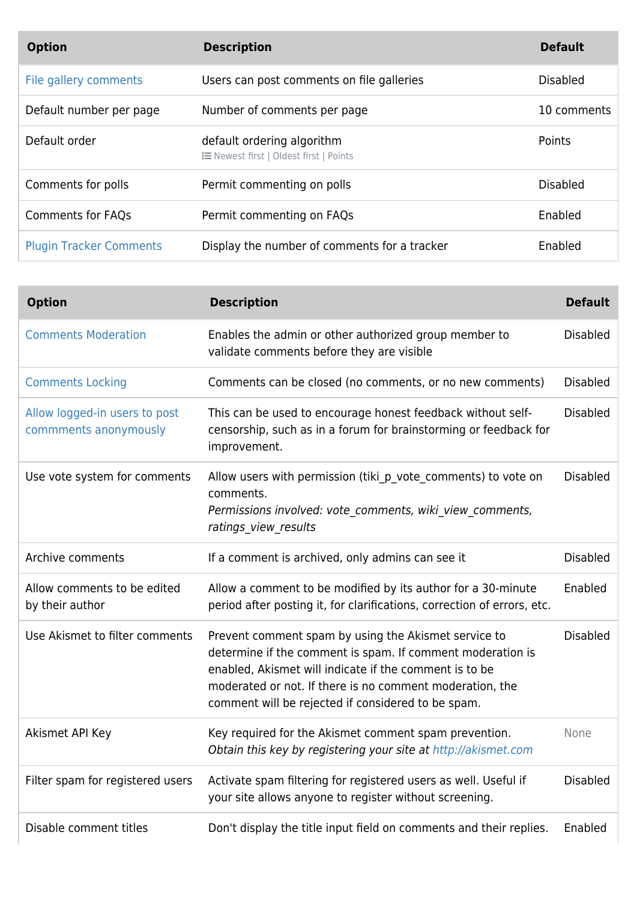| <b>Option</b>                  | <b>Description</b>                                                           | <b>Default</b>  |
|--------------------------------|------------------------------------------------------------------------------|-----------------|
| File gallery comments          | Users can post comments on file galleries                                    | <b>Disabled</b> |
| Default number per page        | Number of comments per page                                                  | 10 comments     |
| Default order                  | default ordering algorithm<br><b>IE Newest first   Oldest first   Points</b> | Points          |
| Comments for polls             | Permit commenting on polls                                                   | <b>Disabled</b> |
| <b>Comments for FAQs</b>       | Permit commenting on FAQs                                                    | Enabled         |
| <b>Plugin Tracker Comments</b> | Display the number of comments for a tracker                                 | Enabled         |

| <b>Option</b>                                          | <b>Description</b>                                                                                                                                                                                                                                                                             | <b>Default</b>  |
|--------------------------------------------------------|------------------------------------------------------------------------------------------------------------------------------------------------------------------------------------------------------------------------------------------------------------------------------------------------|-----------------|
| <b>Comments Moderation</b>                             | Enables the admin or other authorized group member to<br>validate comments before they are visible                                                                                                                                                                                             | <b>Disabled</b> |
| <b>Comments Locking</b>                                | Comments can be closed (no comments, or no new comments)                                                                                                                                                                                                                                       | <b>Disabled</b> |
| Allow logged-in users to post<br>commments anonymously | This can be used to encourage honest feedback without self-<br>censorship, such as in a forum for brainstorming or feedback for<br>improvement.                                                                                                                                                | <b>Disabled</b> |
| Use vote system for comments                           | Allow users with permission (tiki_p_vote_comments) to vote on<br>comments.<br>Permissions involved: vote_comments, wiki_view_comments,<br>ratings view results                                                                                                                                 | <b>Disabled</b> |
| Archive comments                                       | If a comment is archived, only admins can see it                                                                                                                                                                                                                                               | <b>Disabled</b> |
| Allow comments to be edited<br>by their author         | Allow a comment to be modified by its author for a 30-minute<br>period after posting it, for clarifications, correction of errors, etc.                                                                                                                                                        | Enabled         |
| Use Akismet to filter comments                         | Prevent comment spam by using the Akismet service to<br>determine if the comment is spam. If comment moderation is<br>enabled, Akismet will indicate if the comment is to be<br>moderated or not. If there is no comment moderation, the<br>comment will be rejected if considered to be spam. | <b>Disabled</b> |
| Akismet API Key                                        | Key required for the Akismet comment spam prevention.<br>Obtain this key by registering your site at http://akismet.com                                                                                                                                                                        | None            |
| Filter spam for registered users                       | Activate spam filtering for registered users as well. Useful if<br>your site allows anyone to register without screening.                                                                                                                                                                      | <b>Disabled</b> |
| Disable comment titles                                 | Don't display the title input field on comments and their replies.                                                                                                                                                                                                                             | Enabled         |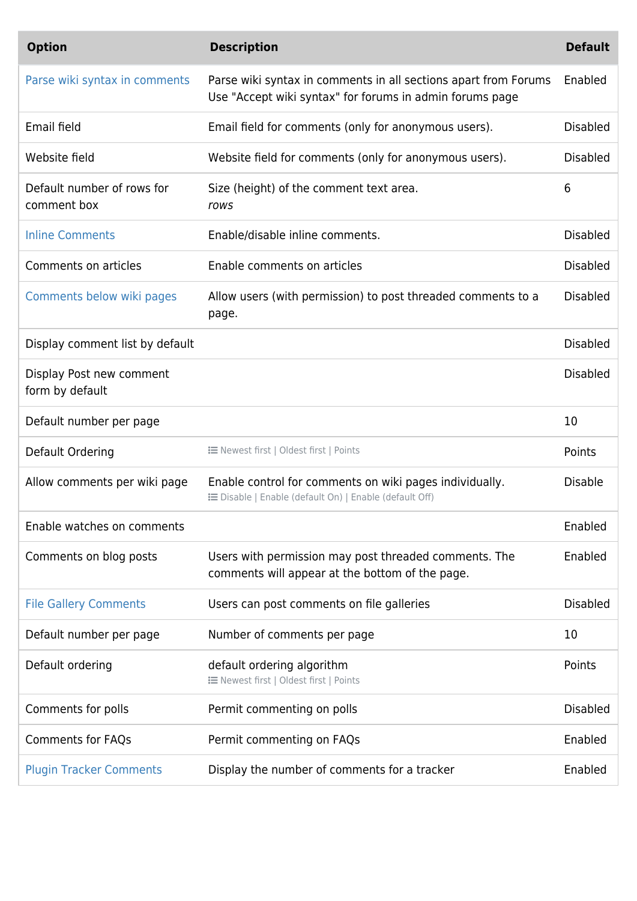| <b>Option</b>                               | <b>Description</b>                                                                                                          | <b>Default</b>  |
|---------------------------------------------|-----------------------------------------------------------------------------------------------------------------------------|-----------------|
| Parse wiki syntax in comments               | Parse wiki syntax in comments in all sections apart from Forums<br>Use "Accept wiki syntax" for forums in admin forums page | Enabled         |
| Email field                                 | Email field for comments (only for anonymous users).                                                                        | <b>Disabled</b> |
| Website field                               | Website field for comments (only for anonymous users).                                                                      | <b>Disabled</b> |
| Default number of rows for<br>comment box   | Size (height) of the comment text area.<br>rows                                                                             | 6               |
| <b>Inline Comments</b>                      | Enable/disable inline comments.                                                                                             | <b>Disabled</b> |
| Comments on articles                        | Enable comments on articles                                                                                                 | <b>Disabled</b> |
| Comments below wiki pages                   | Allow users (with permission) to post threaded comments to a<br>page.                                                       | <b>Disabled</b> |
| Display comment list by default             |                                                                                                                             | <b>Disabled</b> |
| Display Post new comment<br>form by default |                                                                                                                             | <b>Disabled</b> |
| Default number per page                     |                                                                                                                             | 10              |
| Default Ordering                            | <b>IE Newest first   Oldest first   Points</b>                                                                              | Points          |
| Allow comments per wiki page                | Enable control for comments on wiki pages individually.<br><b>EDisable   Enable (default On)   Enable (default Off)</b>     | <b>Disable</b>  |
| Enable watches on comments                  |                                                                                                                             | Enabled         |
| Comments on blog posts                      | Users with permission may post threaded comments. The<br>comments will appear at the bottom of the page.                    | Enabled         |
| <b>File Gallery Comments</b>                | Users can post comments on file galleries                                                                                   | <b>Disabled</b> |
| Default number per page                     | Number of comments per page                                                                                                 | 10              |
| Default ordering                            | default ordering algorithm<br>i Newest first   Oldest first   Points                                                        | Points          |
| Comments for polls                          | Permit commenting on polls                                                                                                  | <b>Disabled</b> |
| <b>Comments for FAQs</b>                    | Permit commenting on FAQs                                                                                                   | Enabled         |
| <b>Plugin Tracker Comments</b>              | Display the number of comments for a tracker                                                                                | Enabled         |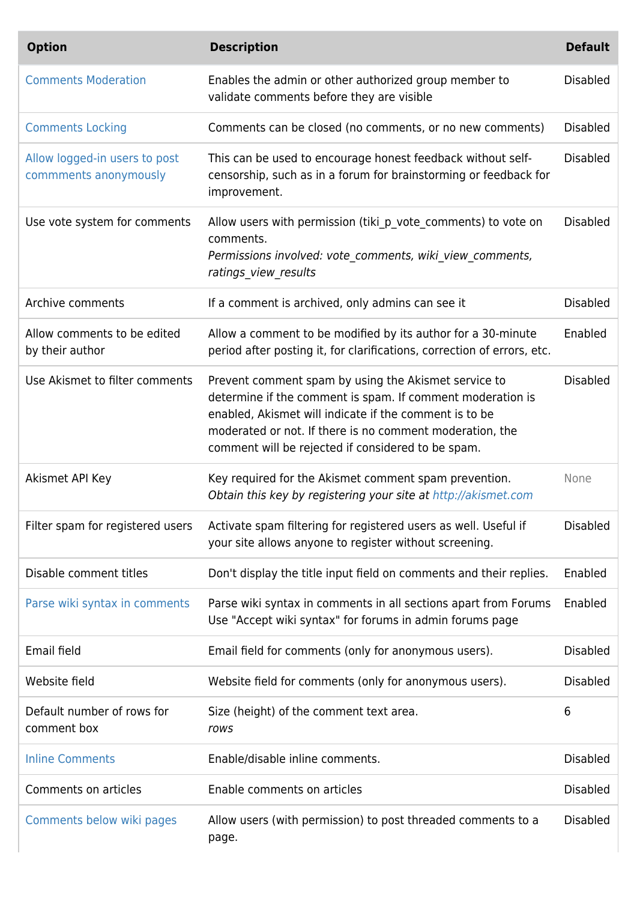| <b>Option</b>                                          | <b>Description</b>                                                                                                                                                                                                                                                                             | <b>Default</b>  |
|--------------------------------------------------------|------------------------------------------------------------------------------------------------------------------------------------------------------------------------------------------------------------------------------------------------------------------------------------------------|-----------------|
| <b>Comments Moderation</b>                             | Enables the admin or other authorized group member to<br>validate comments before they are visible                                                                                                                                                                                             | <b>Disabled</b> |
| <b>Comments Locking</b>                                | Comments can be closed (no comments, or no new comments)                                                                                                                                                                                                                                       | <b>Disabled</b> |
| Allow logged-in users to post<br>commments anonymously | This can be used to encourage honest feedback without self-<br>censorship, such as in a forum for brainstorming or feedback for<br>improvement.                                                                                                                                                | <b>Disabled</b> |
| Use vote system for comments                           | Allow users with permission (tiki p vote comments) to vote on<br>comments.<br>Permissions involved: vote comments, wiki view comments,<br>ratings view results                                                                                                                                 | <b>Disabled</b> |
| Archive comments                                       | If a comment is archived, only admins can see it                                                                                                                                                                                                                                               | <b>Disabled</b> |
| Allow comments to be edited<br>by their author         | Allow a comment to be modified by its author for a 30-minute<br>period after posting it, for clarifications, correction of errors, etc.                                                                                                                                                        | Enabled         |
| Use Akismet to filter comments                         | Prevent comment spam by using the Akismet service to<br>determine if the comment is spam. If comment moderation is<br>enabled, Akismet will indicate if the comment is to be<br>moderated or not. If there is no comment moderation, the<br>comment will be rejected if considered to be spam. | <b>Disabled</b> |
| Akismet API Key                                        | Key required for the Akismet comment spam prevention.<br>Obtain this key by registering your site at http://akismet.com                                                                                                                                                                        | None            |
| Filter spam for registered users                       | Activate spam filtering for registered users as well. Useful if<br>your site allows anyone to register without screening.                                                                                                                                                                      | <b>Disabled</b> |
| Disable comment titles                                 | Don't display the title input field on comments and their replies.                                                                                                                                                                                                                             | Enabled         |
| Parse wiki syntax in comments                          | Parse wiki syntax in comments in all sections apart from Forums<br>Use "Accept wiki syntax" for forums in admin forums page                                                                                                                                                                    | Enabled         |
| Email field                                            | Email field for comments (only for anonymous users).                                                                                                                                                                                                                                           | <b>Disabled</b> |
| Website field                                          | Website field for comments (only for anonymous users).                                                                                                                                                                                                                                         | <b>Disabled</b> |
| Default number of rows for<br>comment box              | Size (height) of the comment text area.<br>rows                                                                                                                                                                                                                                                | 6               |
| <b>Inline Comments</b>                                 | Enable/disable inline comments.                                                                                                                                                                                                                                                                | <b>Disabled</b> |
| Comments on articles                                   | Enable comments on articles                                                                                                                                                                                                                                                                    | <b>Disabled</b> |
| Comments below wiki pages                              | Allow users (with permission) to post threaded comments to a<br>page.                                                                                                                                                                                                                          | <b>Disabled</b> |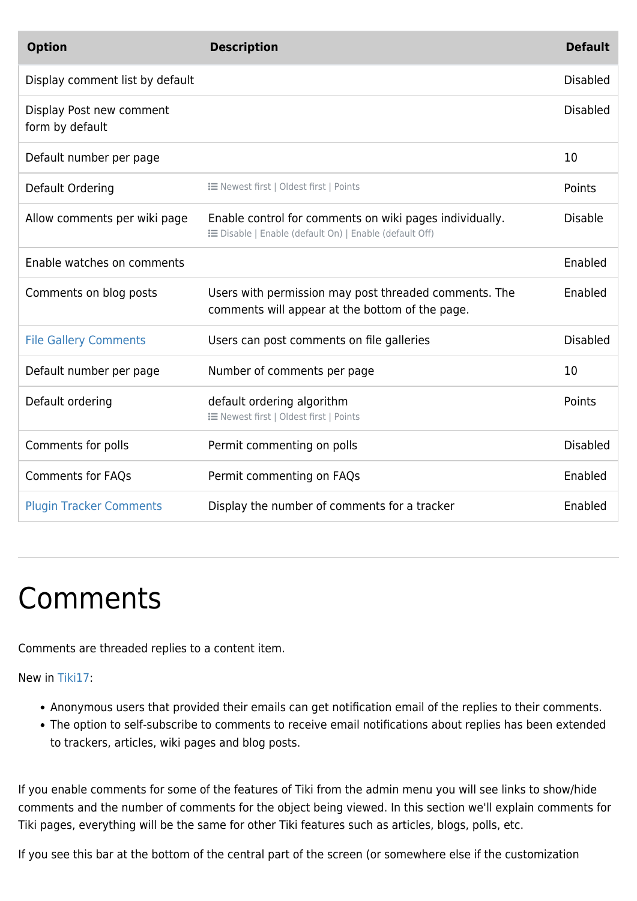| <b>Option</b>                               | <b>Description</b>                                                                                               | <b>Default</b>  |
|---------------------------------------------|------------------------------------------------------------------------------------------------------------------|-----------------|
| Display comment list by default             |                                                                                                                  | <b>Disabled</b> |
| Display Post new comment<br>form by default |                                                                                                                  | <b>Disabled</b> |
| Default number per page                     |                                                                                                                  | 10              |
| Default Ordering                            | <b>IE Newest first   Oldest first   Points</b>                                                                   | Points          |
| Allow comments per wiki page                | Enable control for comments on wiki pages individually.<br>EDisable   Enable (default On)   Enable (default Off) | <b>Disable</b>  |
| Enable watches on comments                  |                                                                                                                  | Enabled         |
| Comments on blog posts                      | Users with permission may post threaded comments. The<br>comments will appear at the bottom of the page.         | Enabled         |
| <b>File Gallery Comments</b>                | Users can post comments on file galleries                                                                        | <b>Disabled</b> |
| Default number per page                     | Number of comments per page                                                                                      | 10              |
| Default ordering                            | default ordering algorithm<br><b>IE Newest first   Oldest first   Points</b>                                     | Points          |
| Comments for polls                          | Permit commenting on polls                                                                                       | <b>Disabled</b> |
| <b>Comments for FAQs</b>                    | Permit commenting on FAQs                                                                                        | Enabled         |
| <b>Plugin Tracker Comments</b>              | Display the number of comments for a tracker                                                                     | Enabled         |

## Comments

Comments are threaded replies to a content item.

New in [Tiki17:](https://doc.tiki.org/Tiki17)

- Anonymous users that provided their emails can get notification email of the replies to their comments.
- The option to self-subscribe to comments to receive email notifications about replies has been extended to trackers, articles, wiki pages and blog posts.

If you enable comments for some of the features of Tiki from the admin menu you will see links to show/hide comments and the number of comments for the object being viewed. In this section we'll explain comments for Tiki pages, everything will be the same for other Tiki features such as articles, blogs, polls, etc.

If you see this bar at the bottom of the central part of the screen (or somewhere else if the customization